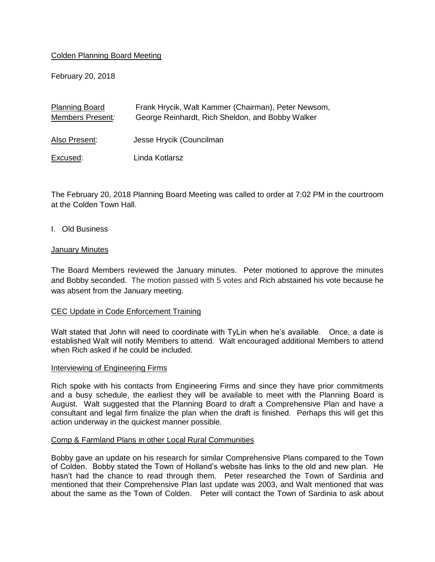# Colden Planning Board Meeting

February 20, 2018

| Frank Hrycik, Walt Kammer (Chairman), Peter Newsom, |
|-----------------------------------------------------|
| George Reinhardt, Rich Sheldon, and Bobby Walker    |
|                                                     |
| Jesse Hrycik (Councilman                            |
|                                                     |
| Linda Kotlarsz                                      |
|                                                     |

The February 20, 2018 Planning Board Meeting was called to order at 7:02 PM in the courtroom at the Colden Town Hall.

## I. Old Business

### **January Minutes**

The Board Members reviewed the January minutes. Peter motioned to approve the minutes and Bobby seconded. The motion passed with 5 votes and Rich abstained his vote because he was absent from the January meeting.

## CEC Update in Code Enforcement Training

Walt stated that John will need to coordinate with TyLin when he's available. Once, a date is established Walt will notify Members to attend. Walt encouraged additional Members to attend when Rich asked if he could be included.

#### Interviewing of Engineering Firms

Rich spoke with his contacts from Engineering Firms and since they have prior commitments and a busy schedule, the earliest they will be available to meet with the Planning Board is August. Walt suggested that the Planning Board to draft a Comprehensive Plan and have a consultant and legal firm finalize the plan when the draft is finished. Perhaps this will get this action underway in the quickest manner possible.

## Comp & Farmland Plans in other Local Rural Communities

Bobby gave an update on his research for similar Comprehensive Plans compared to the Town of Colden. Bobby stated the Town of Holland's website has links to the old and new plan. He hasn't had the chance to read through them. Peter researched the Town of Sardinia and mentioned that their Comprehensive Plan last update was 2003, and Walt mentioned that was about the same as the Town of Colden. Peter will contact the Town of Sardinia to ask about